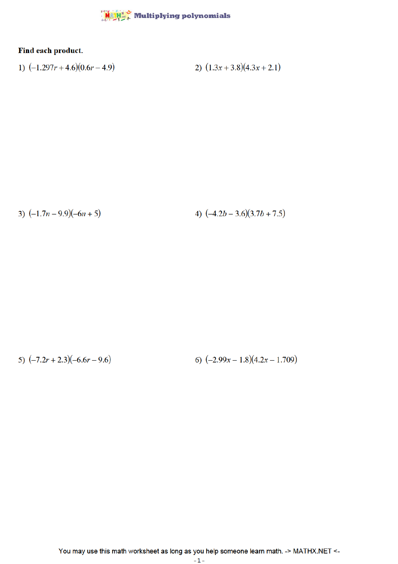## MATH" Multiplying polynomials

## Find each product.

1) 
$$
(-1.297r + 4.6)(0.6r - 4.9)
$$
  
2)  $(1.3x + 3.8)(4.3x + 2.1)$ 

3)  $(-1.7n-9.9)(-6n+5)$ 

4)  $(-4.2b - 3.6)(3.7b + 7.5)$ 

6)  $(-2.99x - 1.8)(4.2x - 1.709)$ 5)  $(-7.2r + 2.3)(-6.6r - 9.6)$ 

You may use this math worksheet as long as you help someone learn math. -> MATHX.NET <-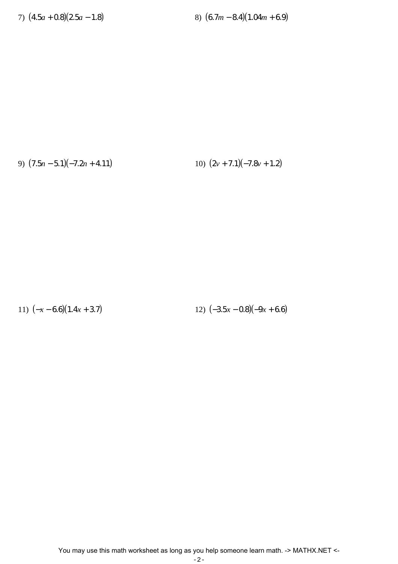7) (4.5*a* + 0.8)(2.5*a* − 1.8) 8) (6.7*m* − 8.4)(1.04*m* + 6.9)

9) (7.5*n* − 5.1)(−7.2*n* + 4.11) 10) (2*v* + 7.1)(−7.8*v* + 1.2)

11)  $(-x-6.6)(1.4x+3.7)$  12)  $(-3.5x-0.8)(-9x+6.6)$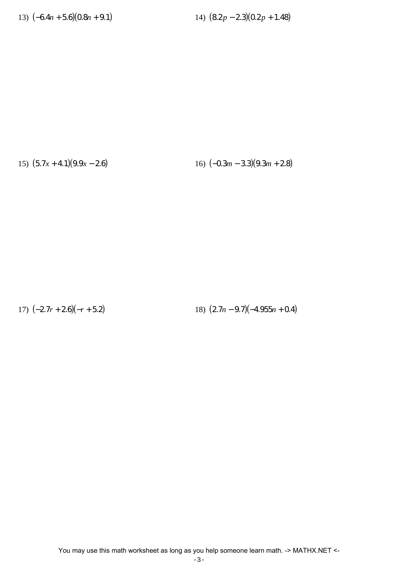13)  $(-6.4n + 5.6)(0.8n + 9.1)$  14)  $(8.2p - 2.3)(0.2p + 1.48)$ 

15)  $(5.7x + 4.1)(9.9x - 2.6)$  16)  $(-0.3m - 3.3)(9.3m + 2.8)$ 

17) (−2.7*r* + 2.6)(−*r* + 5.2) 18) (2.7*n* − 9.7)(−4.955*n* + 0.4)

You may use this math worksheet as long as you help someone learn math. -> MATHX.NET <-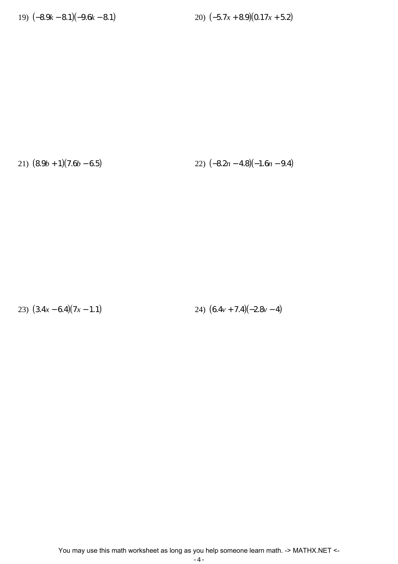19) (−8.9*k* − 8.1)(−9.6*k* − 8.1) 20) (−5.7*x* + 8.9)(0.17*x* + 5.2)

21) (8.9*b* + 1)(7.6*b* − 6.5) 22) (−8.2*n* − 4.8)(−1.6*n* − 9.4)

23)  $(3.4x - 6.4)(7x - 1.1)$  24)  $(6.4v + 7.4)(-2.8v - 4)$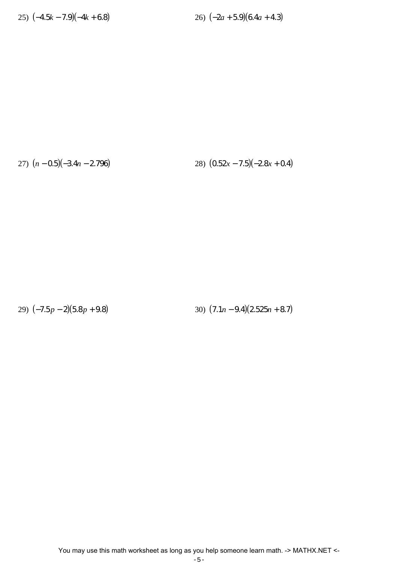27) (*n* − 0.5)(−3.4*n* − 2.796) 28) (0.52*x* − 7.5)(−2.8*x* + 0.4)

29)  $(-7.5p - 2)(5.8p + 9.8)$  30)  $(7.1n - 9.4)(2.525n + 8.7)$ 

You may use this math worksheet as long as you help someone learn math. -> MATHX.NET <-